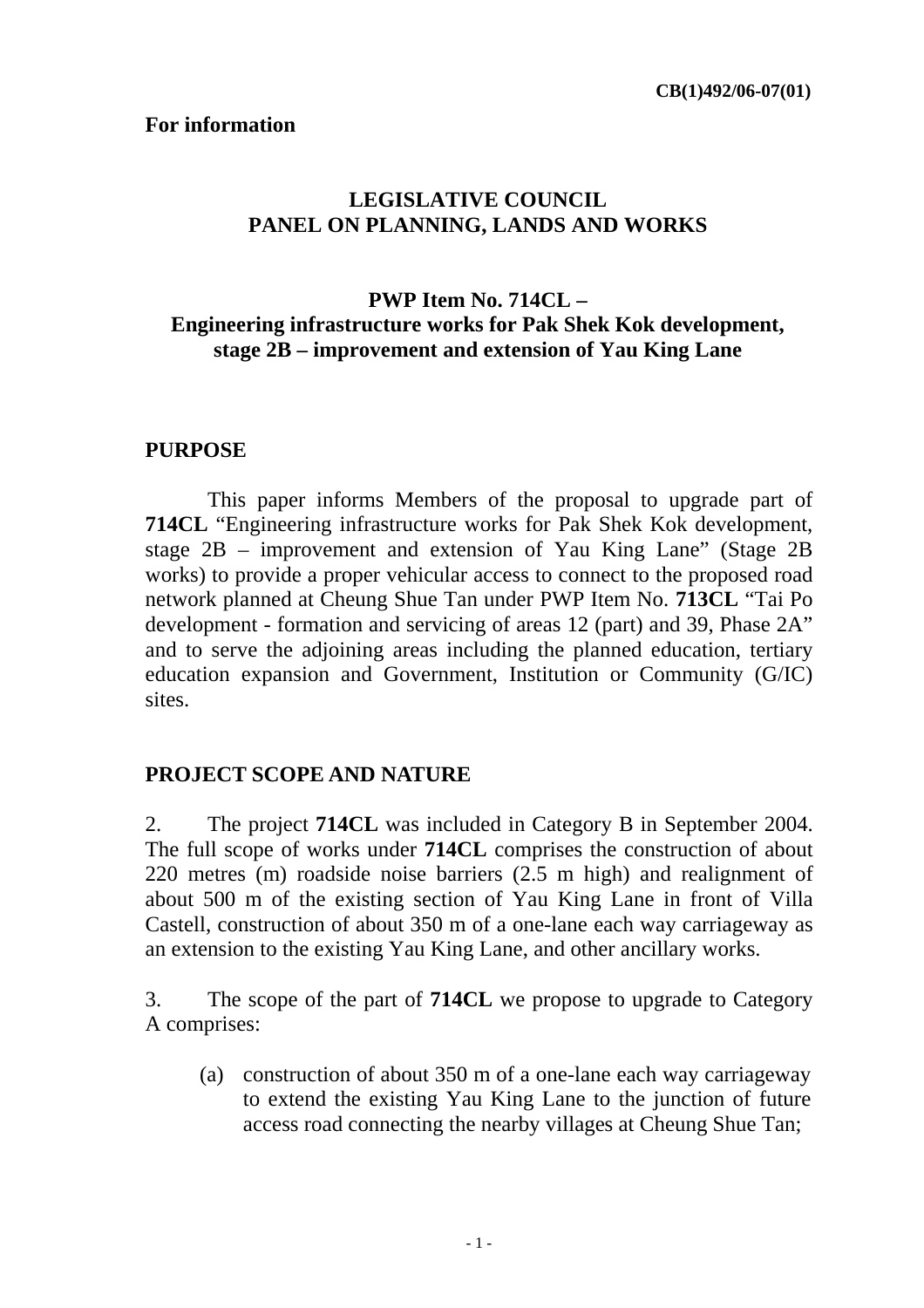#### **For information**

#### **LEGISLATIVE COUNCIL PANEL ON PLANNING, LANDS AND WORKS**

#### **PWP Item No. 714CL – Engineering infrastructure works for Pak Shek Kok development, stage 2B – improvement and extension of Yau King Lane**

#### **PURPOSE**

 This paper informs Members of the proposal to upgrade part of **714CL** "Engineering infrastructure works for Pak Shek Kok development, stage 2B – improvement and extension of Yau King Lane" (Stage 2B works) to provide a proper vehicular access to connect to the proposed road network planned at Cheung Shue Tan under PWP Item No. **713CL** "Tai Po development - formation and servicing of areas 12 (part) and 39, Phase 2A" and to serve the adjoining areas including the planned education, tertiary education expansion and Government, Institution or Community (G/IC) sites.

#### **PROJECT SCOPE AND NATURE**

2. The project **714CL** was included in Category B in September 2004. The full scope of works under **714CL** comprises the construction of about 220 metres (m) roadside noise barriers (2.5 m high) and realignment of about 500 m of the existing section of Yau King Lane in front of Villa Castell, construction of about 350 m of a one-lane each way carriageway as an extension to the existing Yau King Lane, and other ancillary works.

3. The scope of the part of **714CL** we propose to upgrade to Category A comprises:

(a) construction of about 350 m of a one-lane each way carriageway to extend the existing Yau King Lane to the junction of future access road connecting the nearby villages at Cheung Shue Tan;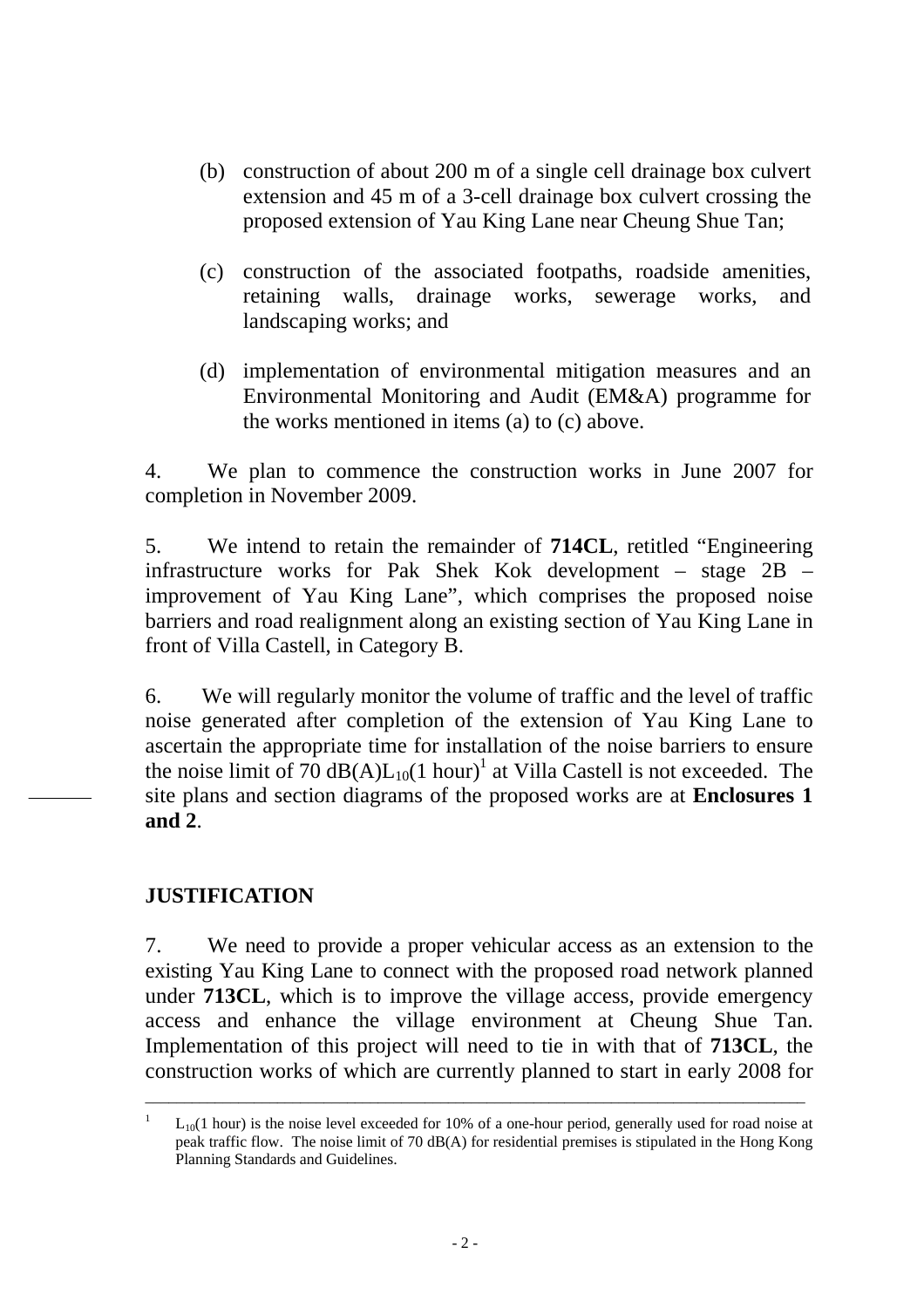- (b) construction of about 200 m of a single cell drainage box culvert extension and 45 m of a 3-cell drainage box culvert crossing the proposed extension of Yau King Lane near Cheung Shue Tan;
- (c) construction of the associated footpaths, roadside amenities, retaining walls, drainage works, sewerage works, and landscaping works; and
- (d) implementation of environmental mitigation measures and an Environmental Monitoring and Audit (EM&A) programme for the works mentioned in items (a) to (c) above.

4. We plan to commence the construction works in June 2007 for completion in November 2009.

5. We intend to retain the remainder of **714CL**, retitled "Engineering infrastructure works for Pak Shek Kok development – stage 2B – improvement of Yau King Lane", which comprises the proposed noise barriers and road realignment along an existing section of Yau King Lane in front of Villa Castell, in Category B.

6. We will regularly monitor the volume of traffic and the level of traffic noise generated after completion of the extension of Yau King Lane to ascertain the appropriate time for installation of the noise barriers to ensure the noise limit of 70  $dB(A)L_{10}(1 \text{ hour})^1$  at Villa Castell is not exceeded. The site plans and section diagrams of the proposed works are at **Enclosures 1 and 2**.

#### **JUSTIFICATION**

7. We need to provide a proper vehicular access as an extension to the existing Yau King Lane to connect with the proposed road network planned under **713CL**, which is to improve the village access, provide emergency access and enhance the village environment at Cheung Shue Tan. Implementation of this project will need to tie in with that of **713CL**, the construction works of which are currently planned to start in early 2008 for

\_\_\_\_\_\_\_\_\_\_\_\_\_\_\_\_\_\_\_\_\_\_\_\_\_\_\_\_\_\_\_\_\_\_\_\_\_\_\_\_\_\_\_\_\_\_\_\_\_\_\_\_\_\_\_\_\_\_\_\_\_\_\_\_\_\_\_\_\_\_\_\_\_\_\_\_\_\_\_\_\_\_\_\_\_

 $L_{10}(1$  hour) is the noise level exceeded for 10% of a one-hour period, generally used for road noise at peak traffic flow. The noise limit of 70 dB(A) for residential premises is stipulated in the Hong Kong Planning Standards and Guidelines.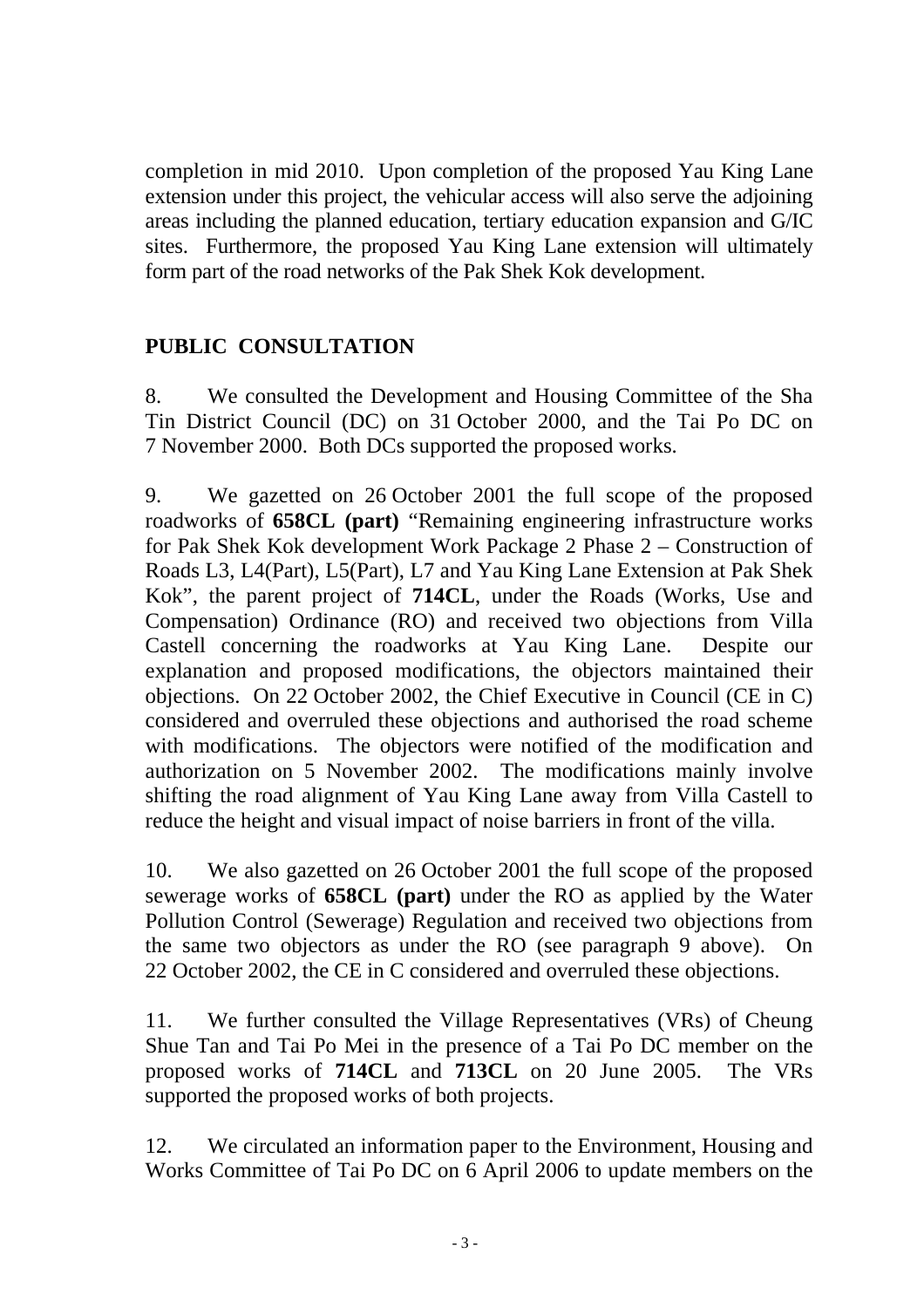completion in mid 2010. Upon completion of the proposed Yau King Lane extension under this project, the vehicular access will also serve the adjoining areas including the planned education, tertiary education expansion and G/IC sites. Furthermore, the proposed Yau King Lane extension will ultimately form part of the road networks of the Pak Shek Kok development.

#### **PUBLIC CONSULTATION**

8. We consulted the Development and Housing Committee of the Sha Tin District Council (DC) on 31 October 2000, and the Tai Po DC on 7 November 2000. Both DCs supported the proposed works.

9. We gazetted on 26 October 2001 the full scope of the proposed roadworks of **658CL (part)** "Remaining engineering infrastructure works for Pak Shek Kok development Work Package 2 Phase 2 – Construction of Roads L3, L4(Part), L5(Part), L7 and Yau King Lane Extension at Pak Shek Kok", the parent project of **714CL**, under the Roads (Works, Use and Compensation) Ordinance (RO) and received two objections from Villa Castell concerning the roadworks at Yau King Lane. Despite our explanation and proposed modifications, the objectors maintained their objections. On 22 October 2002, the Chief Executive in Council (CE in C) considered and overruled these objections and authorised the road scheme with modifications. The objectors were notified of the modification and authorization on 5 November 2002. The modifications mainly involve shifting the road alignment of Yau King Lane away from Villa Castell to reduce the height and visual impact of noise barriers in front of the villa.

10. We also gazetted on 26 October 2001 the full scope of the proposed sewerage works of **658CL (part)** under the RO as applied by the Water Pollution Control (Sewerage) Regulation and received two objections from the same two objectors as under the RO (see paragraph 9 above). On 22 October 2002, the CE in C considered and overruled these objections.

11. We further consulted the Village Representatives (VRs) of Cheung Shue Tan and Tai Po Mei in the presence of a Tai Po DC member on the proposed works of **714CL** and **713CL** on 20 June 2005. The VRs supported the proposed works of both projects.

12. We circulated an information paper to the Environment, Housing and Works Committee of Tai Po DC on 6 April 2006 to update members on the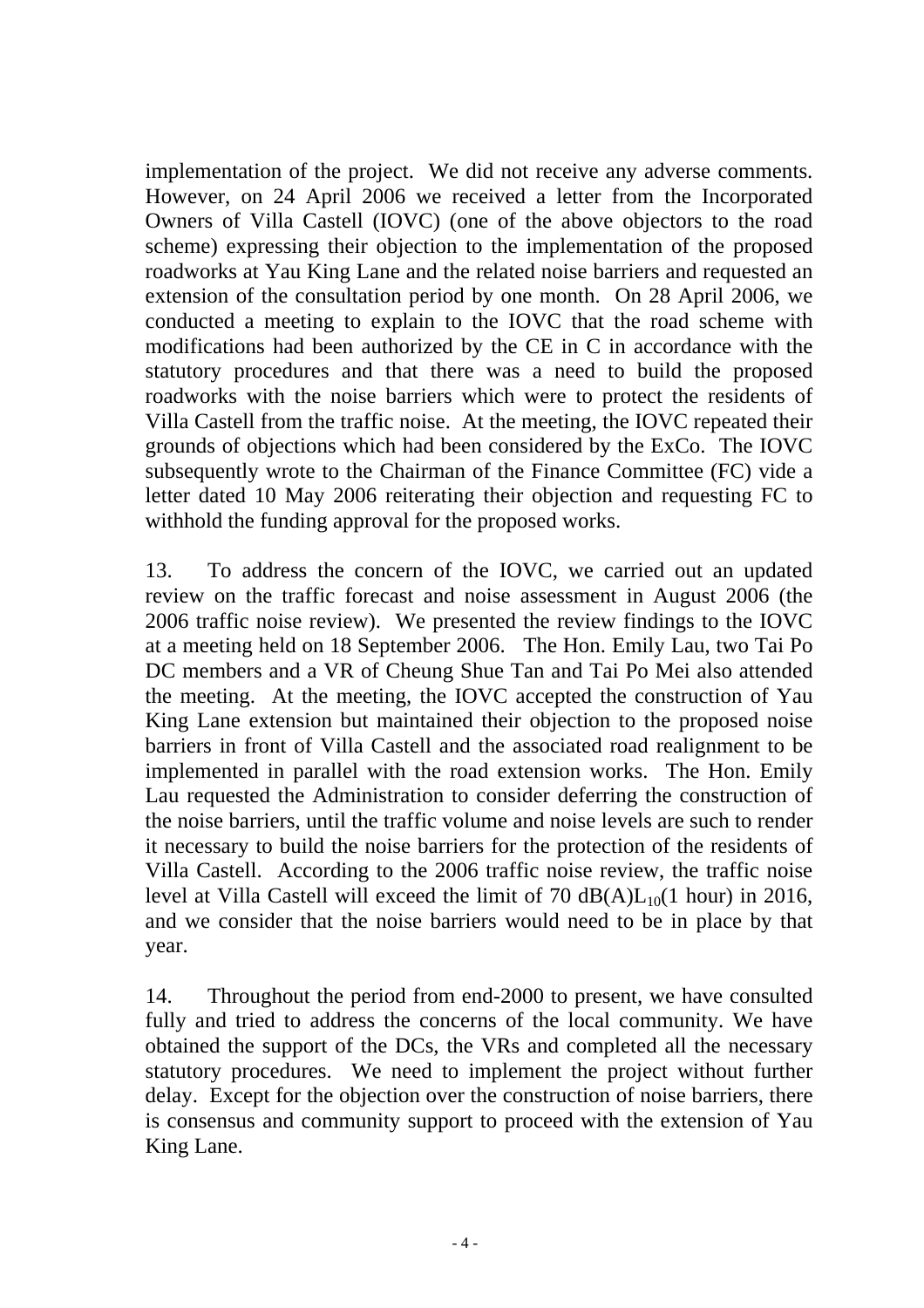implementation of the project. We did not receive any adverse comments. However, on 24 April 2006 we received a letter from the Incorporated Owners of Villa Castell (IOVC) (one of the above objectors to the road scheme) expressing their objection to the implementation of the proposed roadworks at Yau King Lane and the related noise barriers and requested an extension of the consultation period by one month. On 28 April 2006, we conducted a meeting to explain to the IOVC that the road scheme with modifications had been authorized by the CE in C in accordance with the statutory procedures and that there was a need to build the proposed roadworks with the noise barriers which were to protect the residents of Villa Castell from the traffic noise. At the meeting, the IOVC repeated their grounds of objections which had been considered by the ExCo. The IOVC subsequently wrote to the Chairman of the Finance Committee (FC) vide a letter dated 10 May 2006 reiterating their objection and requesting FC to withhold the funding approval for the proposed works.

13. To address the concern of the IOVC, we carried out an updated review on the traffic forecast and noise assessment in August 2006 (the 2006 traffic noise review). We presented the review findings to the IOVC at a meeting held on 18 September 2006. The Hon. Emily Lau, two Tai Po DC members and a VR of Cheung Shue Tan and Tai Po Mei also attended the meeting. At the meeting, the IOVC accepted the construction of Yau King Lane extension but maintained their objection to the proposed noise barriers in front of Villa Castell and the associated road realignment to be implemented in parallel with the road extension works. The Hon. Emily Lau requested the Administration to consider deferring the construction of the noise barriers, until the traffic volume and noise levels are such to render it necessary to build the noise barriers for the protection of the residents of Villa Castell. According to the 2006 traffic noise review, the traffic noise level at Villa Castell will exceed the limit of 70  $dB(A)L_{10}(1$  hour) in 2016, and we consider that the noise barriers would need to be in place by that year.

14. Throughout the period from end-2000 to present, we have consulted fully and tried to address the concerns of the local community. We have obtained the support of the DCs, the VRs and completed all the necessary statutory procedures. We need to implement the project without further delay. Except for the objection over the construction of noise barriers, there is consensus and community support to proceed with the extension of Yau King Lane.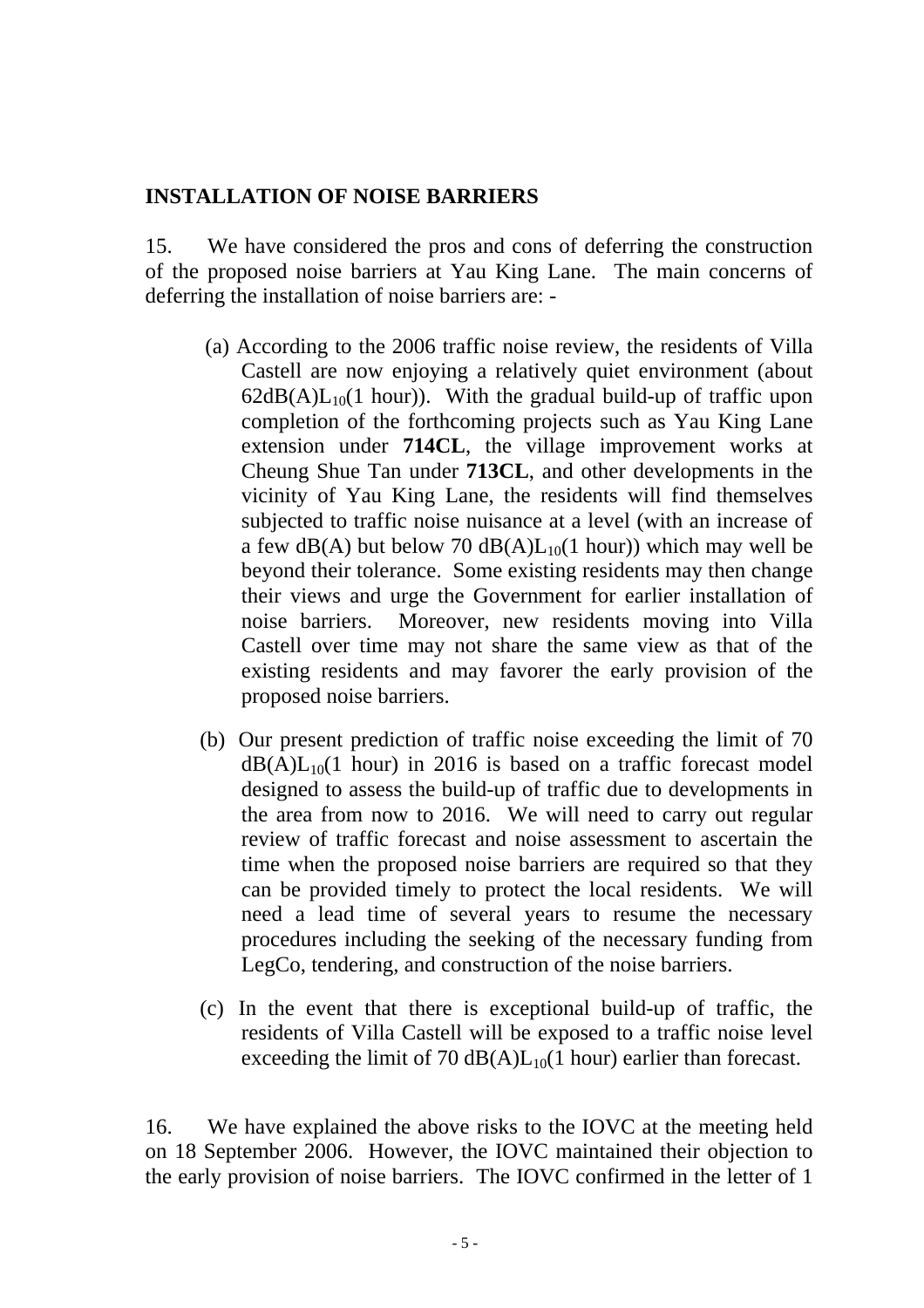#### **INSTALLATION OF NOISE BARRIERS**

15. We have considered the pros and cons of deferring the construction of the proposed noise barriers at Yau King Lane. The main concerns of deferring the installation of noise barriers are: -

- (a) According to the 2006 traffic noise review, the residents of Villa Castell are now enjoying a relatively quiet environment (about  $62dB(A)L_{10}(1$  hour)). With the gradual build-up of traffic upon completion of the forthcoming projects such as Yau King Lane extension under **714CL**, the village improvement works at Cheung Shue Tan under **713CL**, and other developments in the vicinity of Yau King Lane, the residents will find themselves subjected to traffic noise nuisance at a level (with an increase of a few  $dB(A)$  but below 70  $dB(A)L_{10}(1$  hour)) which may well be beyond their tolerance. Some existing residents may then change their views and urge the Government for earlier installation of noise barriers. Moreover, new residents moving into Villa Castell over time may not share the same view as that of the existing residents and may favorer the early provision of the proposed noise barriers.
- (b) Our present prediction of traffic noise exceeding the limit of 70  $dB(A)L_{10}(1$  hour) in 2016 is based on a traffic forecast model designed to assess the build-up of traffic due to developments in the area from now to 2016. We will need to carry out regular review of traffic forecast and noise assessment to ascertain the time when the proposed noise barriers are required so that they can be provided timely to protect the local residents. We will need a lead time of several years to resume the necessary procedures including the seeking of the necessary funding from LegCo, tendering, and construction of the noise barriers.
- (c) In the event that there is exceptional build-up of traffic, the residents of Villa Castell will be exposed to a traffic noise level exceeding the limit of 70  $dB(A)L_{10}(1$  hour) earlier than forecast.

16. We have explained the above risks to the IOVC at the meeting held on 18 September 2006. However, the IOVC maintained their objection to the early provision of noise barriers. The IOVC confirmed in the letter of 1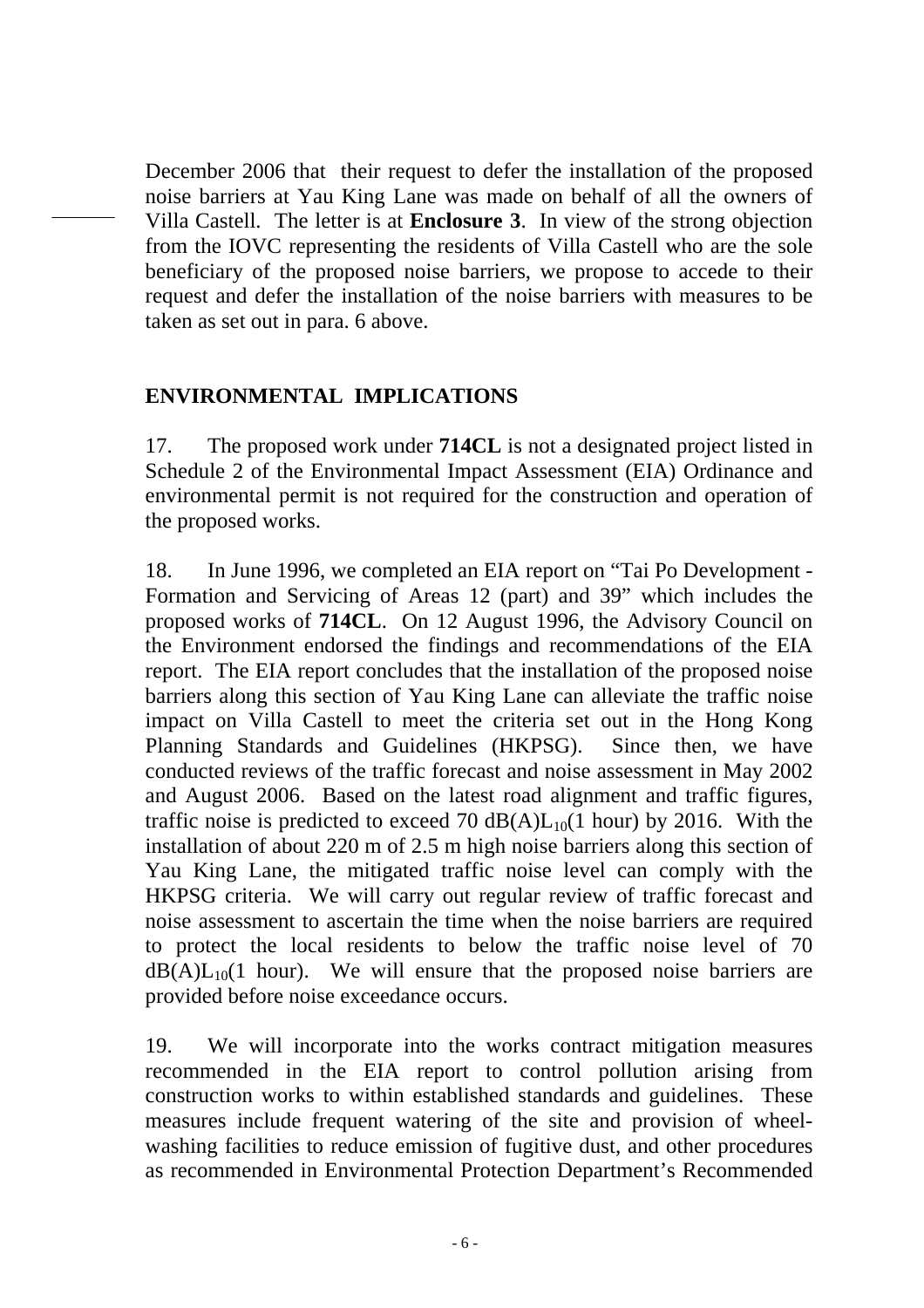December 2006 that their request to defer the installation of the proposed noise barriers at Yau King Lane was made on behalf of all the owners of Villa Castell. The letter is at **Enclosure 3**. In view of the strong objection from the IOVC representing the residents of Villa Castell who are the sole beneficiary of the proposed noise barriers, we propose to accede to their request and defer the installation of the noise barriers with measures to be taken as set out in para. 6 above.

#### **ENVIRONMENTAL IMPLICATIONS**

17. The proposed work under **714CL** is not a designated project listed in Schedule 2 of the Environmental Impact Assessment (EIA) Ordinance and environmental permit is not required for the construction and operation of the proposed works.

18. In June 1996, we completed an EIA report on "Tai Po Development - Formation and Servicing of Areas 12 (part) and 39" which includes the proposed works of **714CL**. On 12 August 1996, the Advisory Council on the Environment endorsed the findings and recommendations of the EIA report. The EIA report concludes that the installation of the proposed noise barriers along this section of Yau King Lane can alleviate the traffic noise impact on Villa Castell to meet the criteria set out in the Hong Kong Planning Standards and Guidelines (HKPSG). Since then, we have conducted reviews of the traffic forecast and noise assessment in May 2002 and August 2006. Based on the latest road alignment and traffic figures, traffic noise is predicted to exceed 70  $dB(A)L_{10}(1$  hour) by 2016. With the installation of about 220 m of 2.5 m high noise barriers along this section of Yau King Lane, the mitigated traffic noise level can comply with the HKPSG criteria. We will carry out regular review of traffic forecast and noise assessment to ascertain the time when the noise barriers are required to protect the local residents to below the traffic noise level of 70  $dB(A)L_{10}(1$  hour). We will ensure that the proposed noise barriers are provided before noise exceedance occurs.

19. We will incorporate into the works contract mitigation measures recommended in the EIA report to control pollution arising from construction works to within established standards and guidelines. These measures include frequent watering of the site and provision of wheelwashing facilities to reduce emission of fugitive dust, and other procedures as recommended in Environmental Protection Department's Recommended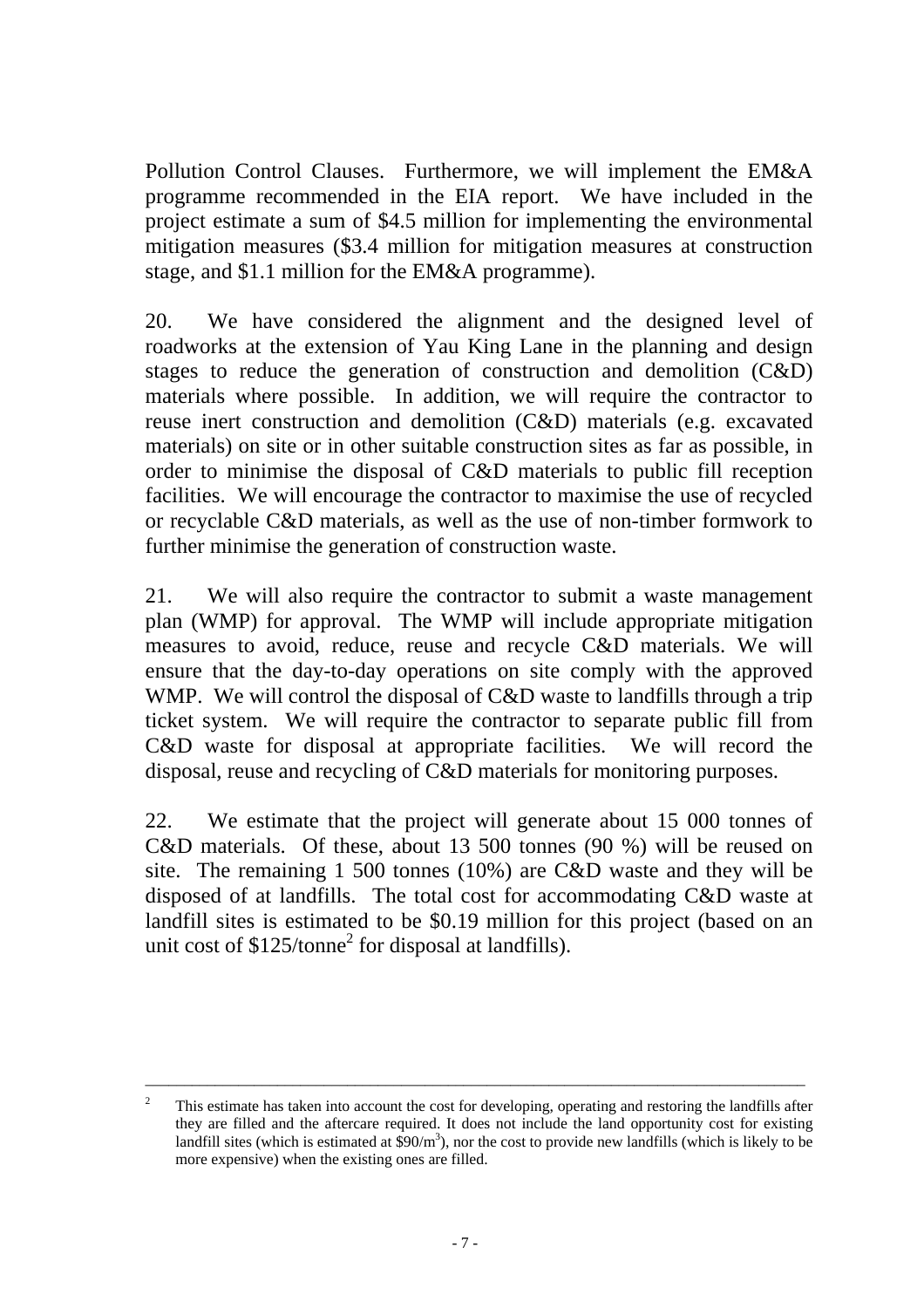Pollution Control Clauses. Furthermore, we will implement the EM&A programme recommended in the EIA report. We have included in the project estimate a sum of \$4.5 million for implementing the environmental mitigation measures (\$3.4 million for mitigation measures at construction stage, and \$1.1 million for the EM&A programme).

20. We have considered the alignment and the designed level of roadworks at the extension of Yau King Lane in the planning and design stages to reduce the generation of construction and demolition (C&D) materials where possible. In addition, we will require the contractor to reuse inert construction and demolition (C&D) materials (e.g. excavated materials) on site or in other suitable construction sites as far as possible, in order to minimise the disposal of C&D materials to public fill reception facilities. We will encourage the contractor to maximise the use of recycled or recyclable C&D materials, as well as the use of non-timber formwork to further minimise the generation of construction waste.

21. We will also require the contractor to submit a waste management plan (WMP) for approval. The WMP will include appropriate mitigation measures to avoid, reduce, reuse and recycle C&D materials. We will ensure that the day-to-day operations on site comply with the approved WMP. We will control the disposal of C&D waste to landfills through a trip ticket system. We will require the contractor to separate public fill from C&D waste for disposal at appropriate facilities. We will record the disposal, reuse and recycling of C&D materials for monitoring purposes.

22. We estimate that the project will generate about 15 000 tonnes of C&D materials. Of these, about 13 500 tonnes (90 %) will be reused on site. The remaining 1 500 tonnes (10%) are C&D waste and they will be disposed of at landfills. The total cost for accommodating C&D waste at landfill sites is estimated to be \$0.19 million for this project (based on an unit cost of  $$125$ /tonne<sup>2</sup> for disposal at landfills).

\_\_\_\_\_\_\_\_\_\_\_\_\_\_\_\_\_\_\_\_\_\_\_\_\_\_\_\_\_\_\_\_\_\_\_\_\_\_\_\_\_\_\_\_\_\_\_\_\_\_\_\_\_\_\_\_\_\_\_\_\_\_\_\_\_\_\_\_\_\_\_\_\_\_\_\_\_\_\_\_\_\_\_\_\_

 $\overline{2}$  This estimate has taken into account the cost for developing, operating and restoring the landfills after they are filled and the aftercare required. It does not include the land opportunity cost for existing landfill sites (which is estimated at  $\frac{20}{m^3}$ ), nor the cost to provide new landfills (which is likely to be more expensive) when the existing ones are filled.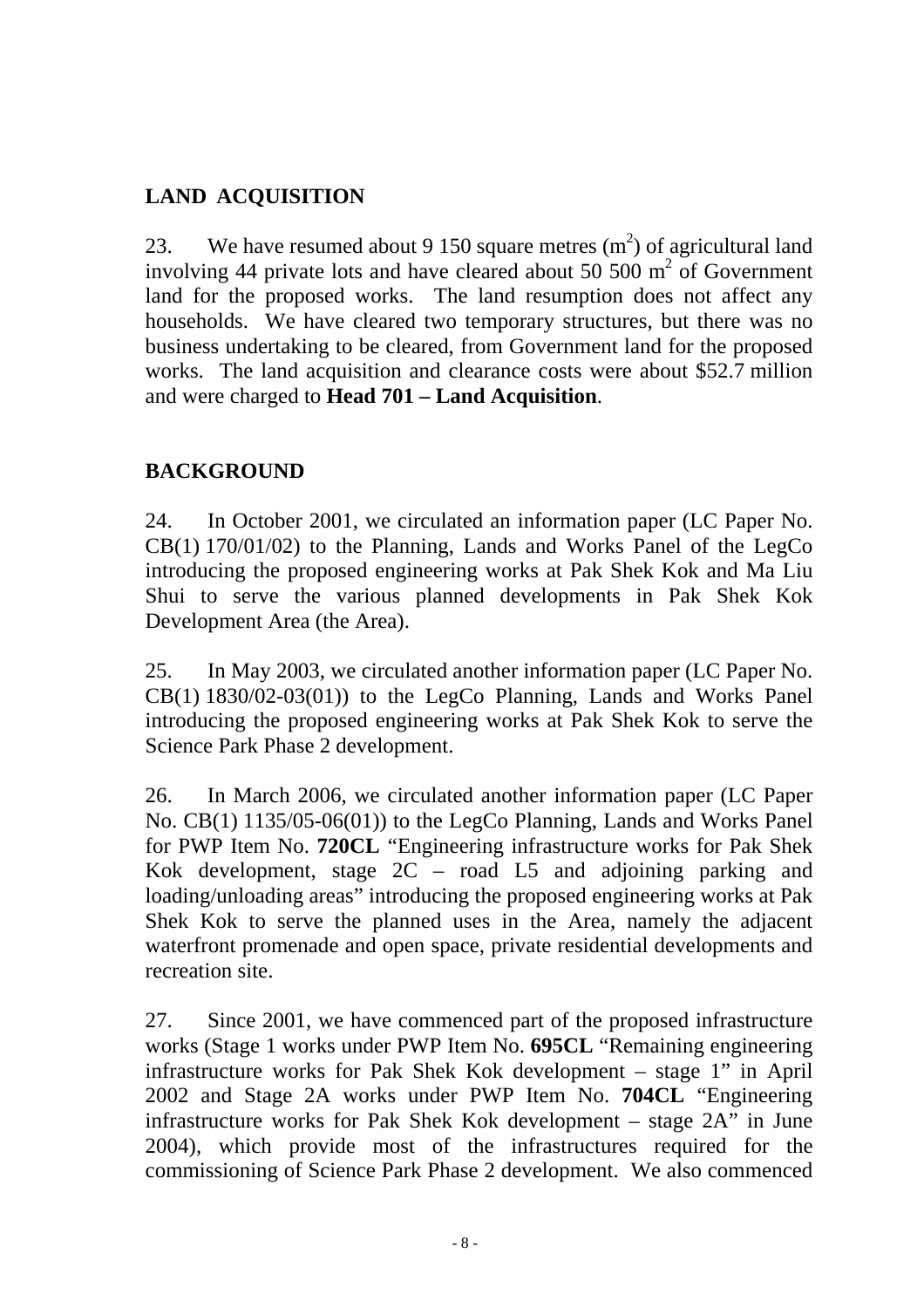## **LAND ACQUISITION**

23. We have resumed about 9 150 square metres  $(m^2)$  of agricultural land involving 44 private lots and have cleared about 50 500  $m^2$  of Government land for the proposed works. The land resumption does not affect any households. We have cleared two temporary structures, but there was no business undertaking to be cleared, from Government land for the proposed works. The land acquisition and clearance costs were about \$52.7 million and were charged to **Head 701 – Land Acquisition**.

### **BACKGROUND**

24. In October 2001, we circulated an information paper (LC Paper No. CB(1) 170/01/02) to the Planning, Lands and Works Panel of the LegCo introducing the proposed engineering works at Pak Shek Kok and Ma Liu Shui to serve the various planned developments in Pak Shek Kok Development Area (the Area).

25. In May 2003, we circulated another information paper (LC Paper No. CB(1) 1830/02-03(01)) to the LegCo Planning, Lands and Works Panel introducing the proposed engineering works at Pak Shek Kok to serve the Science Park Phase 2 development.

26. In March 2006, we circulated another information paper (LC Paper No. CB(1) 1135/05-06(01)) to the LegCo Planning, Lands and Works Panel for PWP Item No. **720CL** "Engineering infrastructure works for Pak Shek Kok development, stage 2C – road L5 and adjoining parking and loading/unloading areas" introducing the proposed engineering works at Pak Shek Kok to serve the planned uses in the Area, namely the adjacent waterfront promenade and open space, private residential developments and recreation site.

27. Since 2001, we have commenced part of the proposed infrastructure works (Stage 1 works under PWP Item No. **695CL** "Remaining engineering infrastructure works for Pak Shek Kok development – stage 1" in April 2002 and Stage 2A works under PWP Item No. **704CL** "Engineering infrastructure works for Pak Shek Kok development – stage 2A" in June 2004), which provide most of the infrastructures required for the commissioning of Science Park Phase 2 development. We also commenced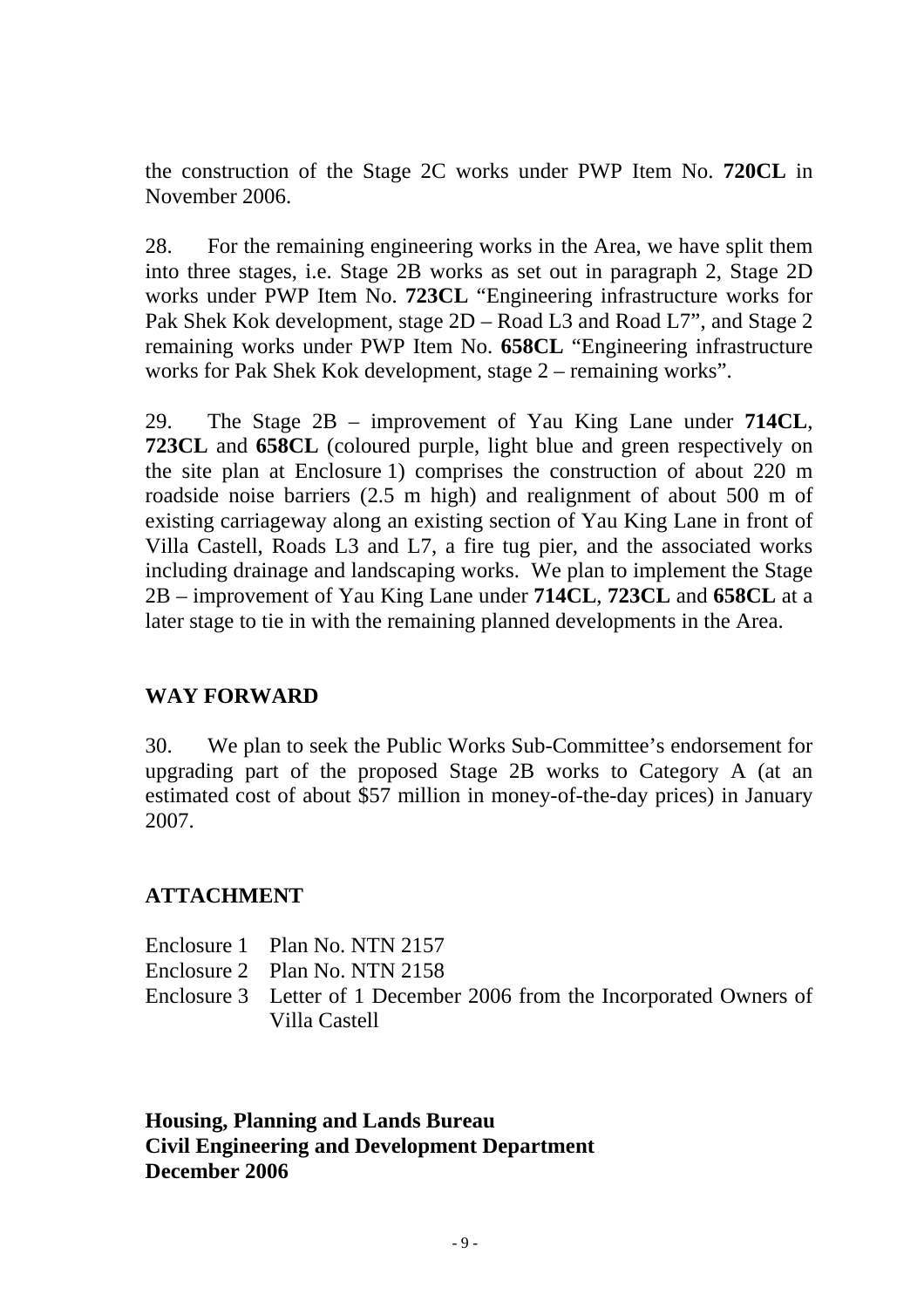the construction of the Stage 2C works under PWP Item No. **720CL** in November 2006.

28. For the remaining engineering works in the Area, we have split them into three stages, i.e. Stage 2B works as set out in paragraph 2, Stage 2D works under PWP Item No. **723CL** "Engineering infrastructure works for Pak Shek Kok development, stage 2D – Road L3 and Road L7", and Stage 2 remaining works under PWP Item No. **658CL** "Engineering infrastructure works for Pak Shek Kok development, stage 2 – remaining works".

29. The Stage 2B – improvement of Yau King Lane under **714CL**, **723CL** and **658CL** (coloured purple, light blue and green respectively on the site plan at Enclosure 1) comprises the construction of about 220 m roadside noise barriers (2.5 m high) and realignment of about 500 m of existing carriageway along an existing section of Yau King Lane in front of Villa Castell, Roads L3 and L7, a fire tug pier, and the associated works including drainage and landscaping works. We plan to implement the Stage 2B – improvement of Yau King Lane under **714CL**, **723CL** and **658CL** at a later stage to tie in with the remaining planned developments in the Area.

#### **WAY FORWARD**

30. We plan to seek the Public Works Sub-Committee's endorsement for upgrading part of the proposed Stage 2B works to Category A (at an estimated cost of about \$57 million in money-of-the-day prices) in January 2007.

#### **ATTACHMENT**

- Enclosure 1 Plan No. NTN 2157
- Enclosure 2 Plan No. NTN 2158

Enclosure 3 Letter of 1 December 2006 from the Incorporated Owners of Villa Castell

**Housing, Planning and Lands Bureau Civil Engineering and Development Department December 2006**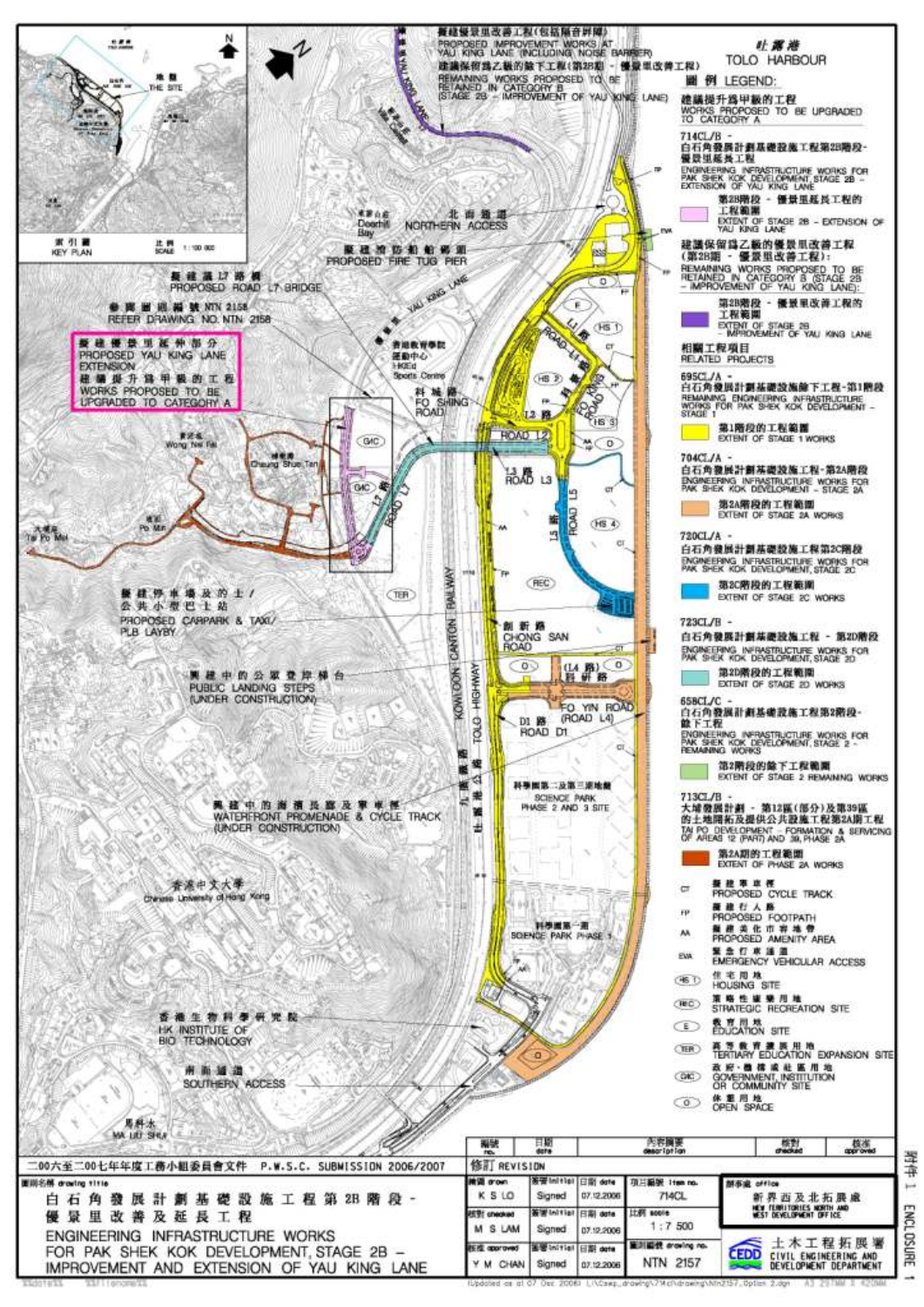

**ENCL TOSURE** 

÷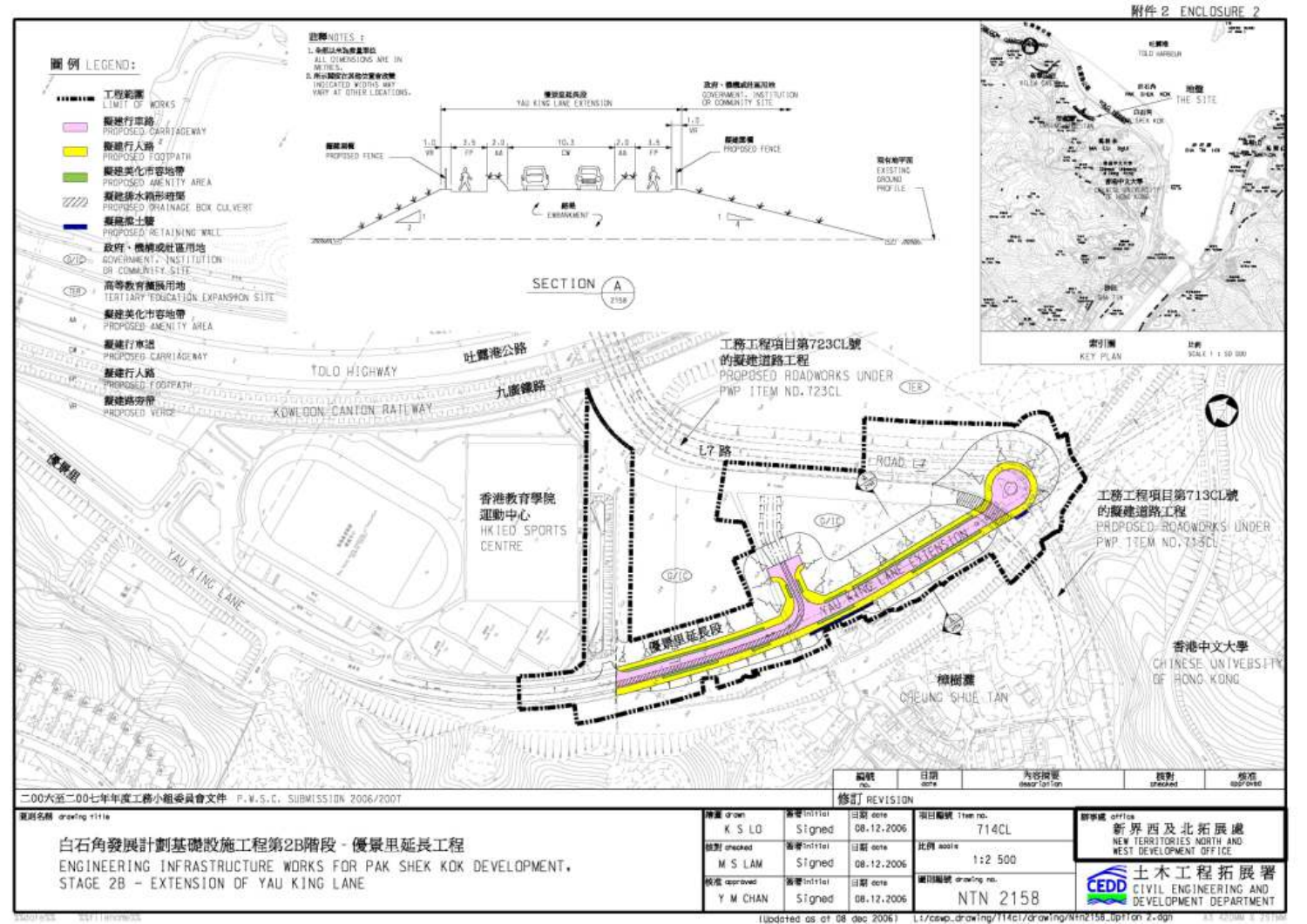#### 附件 2 ENCLOSURE 2